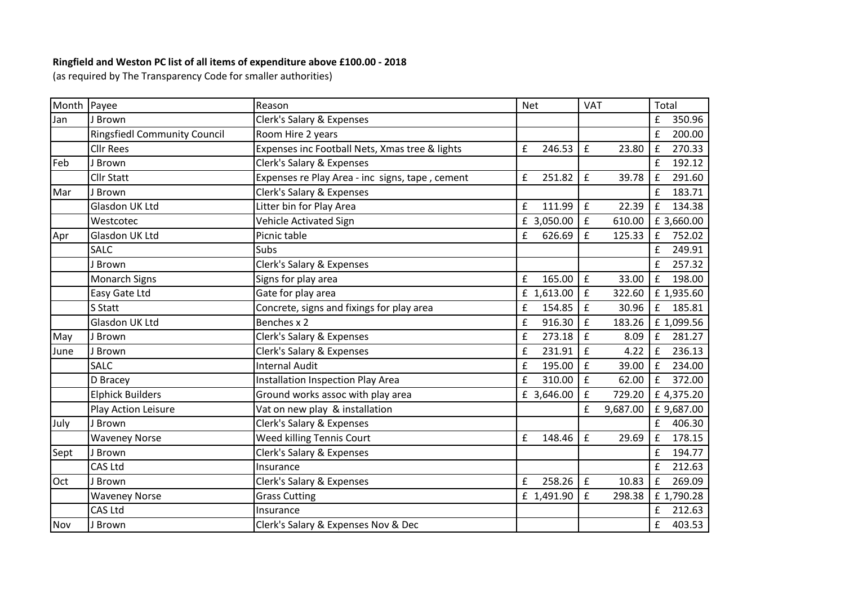## **Ringfield and Weston PC list of all items of expenditure above £100.00 - 2018**

(as required by The Transparency Code for smaller authorities)

| Month Payee |                                     | Reason                                          | <b>Net</b>  | <b>VAT</b>                   | Total                        |
|-------------|-------------------------------------|-------------------------------------------------|-------------|------------------------------|------------------------------|
| Jan         | J Brown                             | Clerk's Salary & Expenses                       |             |                              | 350.96<br>£                  |
|             | <b>Ringsfiedl Community Council</b> | Room Hire 2 years                               |             |                              | £<br>200.00                  |
|             | <b>Cllr Rees</b>                    | Expenses inc Football Nets, Xmas tree & lights  | £<br>246.53 | $\pmb{\mathsf{f}}$<br>23.80  | 270.33<br>$\pmb{\mathsf{f}}$ |
| Feb         | <b>Brown</b>                        | Clerk's Salary & Expenses                       |             |                              | 192.12<br>£                  |
|             | <b>Cllr Statt</b>                   | Expenses re Play Area - inc signs, tape, cement | £<br>251.82 | $\pmb{\mathsf{f}}$<br>39.78  | 291.60<br>$\pmb{\mathsf{f}}$ |
| Mar         | J Brown                             | Clerk's Salary & Expenses                       |             |                              | 183.71<br>£                  |
|             | Glasdon UK Ltd                      | Litter bin for Play Area                        | £<br>111.99 | $\pmb{\mathsf{f}}$<br>22.39  | $\pmb{\mathsf{f}}$<br>134.38 |
|             | Westcotec                           | Vehicle Activated Sign                          | £ 3,050.00  | £<br>610.00                  | £ 3,660.00                   |
| Apr         | Glasdon UK Ltd                      | Picnic table                                    | £<br>626.69 | $\pmb{\mathsf{f}}$<br>125.33 | 752.02<br>$\pmb{\mathsf{f}}$ |
|             | <b>SALC</b>                         | Subs                                            |             |                              | 249.91<br>£                  |
|             | Brown                               | Clerk's Salary & Expenses                       |             |                              | 257.32<br>£                  |
|             | Monarch Signs                       | Signs for play area                             | £<br>165.00 | £<br>33.00                   | 198.00<br>$\mathbf f$        |
|             | Easy Gate Ltd                       | Gate for play area                              | £ 1,613.00  | $\pmb{\mathsf{f}}$<br>322.60 | £ 1,935.60                   |
|             | S Statt                             | Concrete, signs and fixings for play area       | £<br>154.85 | £<br>30.96                   | 185.81<br>£                  |
|             | Glasdon UK Ltd                      | Benches x 2                                     | 916.30<br>£ | £<br>183.26                  | £ 1,099.56                   |
| May         | J Brown                             | Clerk's Salary & Expenses                       | 273.18<br>£ | £<br>8.09                    | 281.27<br>f                  |
| June        | J Brown                             | Clerk's Salary & Expenses                       | 231.91<br>£ | £<br>4.22                    | $\mathbf f$<br>236.13        |
|             | <b>SALC</b>                         | <b>Internal Audit</b>                           | £<br>195.00 | £<br>39.00                   | £<br>234.00                  |
|             | D Bracey                            | Installation Inspection Play Area               | £<br>310.00 | $\pmb{\mathsf{f}}$<br>62.00  | $\pmb{\mathsf{f}}$<br>372.00 |
|             | <b>Elphick Builders</b>             | Ground works assoc with play area               | £ 3,646.00  | £<br>729.20                  | £4,375.20                    |
|             | Play Action Leisure                 | Vat on new play & installation                  |             | £<br>9,687.00                | £ 9,687.00                   |
| July        | J Brown                             | Clerk's Salary & Expenses                       |             |                              | £<br>406.30                  |
|             | <b>Waveney Norse</b>                | <b>Weed killing Tennis Court</b>                | £<br>148.46 | £<br>29.69                   | 178.15<br>£                  |
| Sept        | J Brown                             | Clerk's Salary & Expenses                       |             |                              | £<br>194.77                  |
|             | CAS Ltd                             | Insurance                                       |             |                              | £<br>212.63                  |
| <b>Oct</b>  | J Brown                             | Clerk's Salary & Expenses                       | 258.26<br>£ | £<br>10.83                   | 269.09<br>£                  |
|             | <b>Waveney Norse</b>                | <b>Grass Cutting</b>                            | £ 1,491.90  | $\pmb{\mathsf{f}}$<br>298.38 | £1,790.28                    |
|             | CAS Ltd                             | Insurance                                       |             |                              | 212.63<br>£                  |
| Nov         | J Brown                             | Clerk's Salary & Expenses Nov & Dec             |             |                              | 403.53<br>£                  |